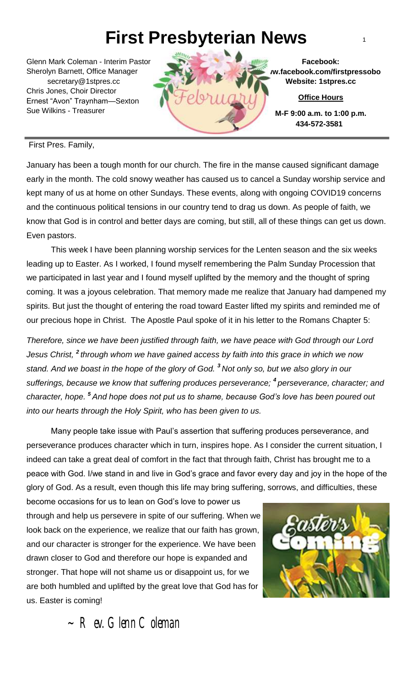# **First Presbyterian News** <sup>1</sup>

Glenn Mark Coleman - Interim Pastor Sherolyn Barnett, Office Manager secretary@1stpres.cc Chris Jones, Choir Director Ernest "Avon" Traynham—Sexton Sue Wilkins - Treasurer



**Facebook: www.facebook.com/firstpressobo Website: 1stpres.cc**

**Office Hours**

**M-F 9:00 a.m. to 1:00 p.m. 434-572-3581**

#### First Pres. Family,

January has been a tough month for our church. The fire in the manse caused significant damage early in the month. The cold snowy weather has caused us to cancel a Sunday worship service and kept many of us at home on other Sundays. These events, along with ongoing COVID19 concerns and the continuous political tensions in our country tend to drag us down. As people of faith, we know that God is in control and better days are coming, but still, all of these things can get us down. Even pastors.

 our precious hope in Christ. The Apostle Paul spoke of it in his letter to the Romans Chapter 5: This week I have been planning worship services for the Lenten season and the six weeks leading up to Easter. As I worked, I found myself remembering the Palm Sunday Procession that we participated in last year and I found myself uplifted by the memory and the thought of spring coming. It was a joyous celebration. That memory made me realize that January had dampened my spirits. But just the thought of entering the road toward Easter lifted my spirits and reminded me of

 *Therefore, since we have been justified through faith, we have peace with God through our Lord Jesus Christ, <sup>2</sup> through whom we have gained access by faith into this grace in which we now stand. And we boast in the hope of the glory of God. <sup>3</sup> Not only so, but we also glory in our sufferings, because we know that suffering produces perseverance; <sup>4</sup> perseverance, character; and character, hope. <sup>5</sup> And hope does not put us to shame, because God's love has been poured out into our hearts through the Holy Spirit, who has been given to us.*

 Many people take issue with Paul's assertion that suffering produces perseverance, and perseverance produces character which in turn, inspires hope. As I consider the current situation, I indeed can take a great deal of comfort in the fact that through faith, Christ has brought me to a peace with God. I/we stand in and live in God's grace and favor every day and joy in the hope of the glory of God. As a result, even though this life may bring suffering, sorrows, and difficulties, these

become occasions for us to lean on God's love to power us through and help us persevere in spite of our suffering. When we look back on the experience, we realize that our faith has grown, and our character is stronger for the experience. We have been drawn closer to God and therefore our hope is expanded and stronger. That hope will not shame us or disappoint us, for we are both humbled and uplifted by the great love that God has for us. Easter is coming!



 $~\sim$  Rev. Glenn Coleman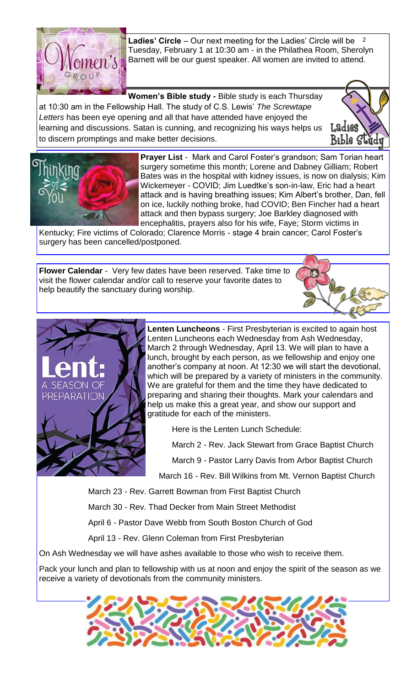

**Ladies' Circle** – Our next meeting for the Ladies' Circle will be 2 Tuesday, February 1 at 10:30 am - in the Philathea Room, Sherolyn Barnett will be our guest speaker. All women are invited to attend.

**Women's Bible study -** Bible study is each Thursday at 10:30 am in the Fellowship Hall. The study of C.S. Lewis' *The Screwtape Letters* has been eye opening and all that have attended have enjoyed the learning and discussions. Satan is cunning, and recognizing his ways helps us to discern promptings and make better decisions.





**Prayer List** - Mark and Carol Foster's grandson; Sam Torian heart surgery sometime this month; Lorene and Dabney Gilliam; Robert Bates was in the hospital with kidney issues, is now on dialysis; Kim Wickemeyer - COVID; Jim Luedtke's son-in-law, Eric had a heart attack and is having breathing issues; Kim Albert's brother, Dan, fell on ice, luckily nothing broke, had COVID; Ben Fincher had a heart attack and then bypass surgery; Joe Barkley diagnosed with encephalitis, prayers also for his wife, Faye; Storm victims in

Kentucky; Fire victims of Colorado; Clarence Morris - stage 4 brain cancer; Carol Foster's surgery has been cancelled/postponed.

**Flower Calendar** - Very few dates have been reserved. Take time to visit the flower calendar and/or call to reserve your favorite dates to help beautify the sanctuary during worship.





**Lenten Luncheons** - First Presbyterian is excited to again host Lenten Luncheons each Wednesday from Ash Wednesday, March 2 through Wednesday, April 13. We will plan to have a lunch, brought by each person, as we fellowship and enjoy one another's company at noon. At 12:30 we will start the devotional, which will be prepared by a variety of ministers in the community. We are grateful for them and the time they have dedicated to preparing and sharing their thoughts. Mark your calendars and help us make this a great year, and show our support and gratitude for each of the ministers.

Here is the Lenten Lunch Schedule:

March 2 - Rev. Jack Stewart from Grace Baptist Church

March 9 - Pastor Larry Davis from Arbor Baptist Church

March 16 - Rev. Bill Wilkins from Mt. Vernon Baptist Church

March 23 - Rev. Garrett Bowman from First Baptist Church

March 30 - Rev. Thad Decker from Main Street Methodist

April 6 - Pastor Dave Webb from South Boston Church of God

April 13 - Rev. Glenn Coleman from First Presbyterian

On Ash Wednesday we will have ashes available to those who wish to receive them.

Pack your lunch and plan to fellowship with us at noon and enjoy the spirit of the season as we receive a variety of devotionals from the community ministers.

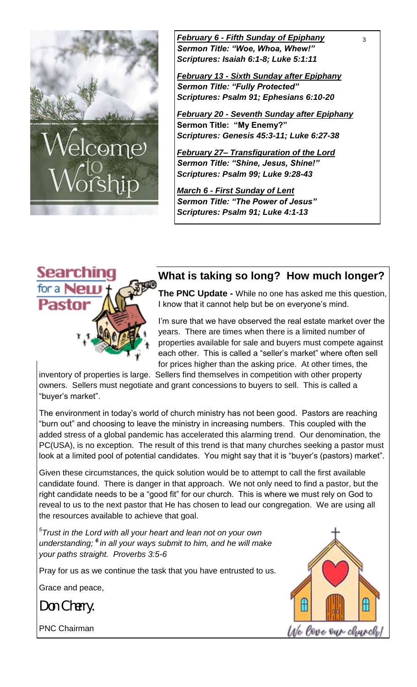

*February 6 - Fifth Sunday of Epiphany* <sup>3</sup> *Sermon Title: "Woe, Whoa, Whew!" Scriptures: Isaiah 6:1-8; Luke 5:1:11*

*February 13 - Sixth Sunday after Epiphany Sermon Title: "Fully Protected" Scriptures: Psalm 91; Ephesians 6:10-20*

*February 20 - Seventh Sunday after Epiphany* **Sermon Title: "My Enemy?"** *Scriptures: Genesis 45:3-11; Luke 6:27-38*

*February 27– Transfiguration of the Lord Sermon Title: "Shine, Jesus, Shine!" Scriptures: Psalm 99; Luke 9:28-43*

*March 6 - First Sunday of Lent Sermon Title: "The Power of Jesus" Scriptures: Psalm 91; Luke 4:1-13*



## **What is taking so long? How much longer?**

**The PNC Update -** While no one has asked me this question, I know that it cannot help but be on everyone's mind.

I'm sure that we have observed the real estate market over the years. There are times when there is a limited number of properties available for sale and buyers must compete against each other. This is called a "seller's market" where often sell for prices higher than the asking price. At other times, the

inventory of properties is large. Sellers find themselves in competition with other property owners. Sellers must negotiate and grant concessions to buyers to sell. This is called a "buyer's market".

The environment in today's world of church ministry has not been good. Pastors are reaching "burn out" and choosing to leave the ministry in increasing numbers. This coupled with the added stress of a global pandemic has accelerated this alarming trend. Our denomination, the PC(USA), is no exception. The result of this trend is that many churches seeking a pastor must look at a limited pool of potential candidates. You might say that it is "buyer's (pastors) market".

Given these circumstances, the quick solution would be to attempt to call the first available candidate found. There is danger in that approach. We not only need to find a pastor, but the right candidate needs to be a "good fit" for our church. This is where we must rely on God to reveal to us to the next pastor that He has chosen to lead our congregation. We are using all the resources available to achieve that goal.

*5 Trust in the Lord with all your heart and lean not on your own understanding; <sup>6</sup> in all your ways submit to him, and he will make your paths straight. Proverbs 3:5-6*

Pray for us as we continue the task that you have entrusted to us.

Grace and peace,

*Don Cherry.* 

PNC Chairman

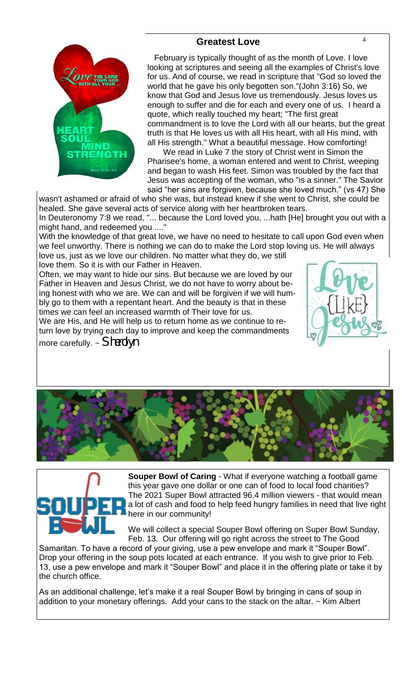## **Greatest Love** 4



 February is typically thought of as the month of Love. I love looking at scriptures and seeing all the examples of Christ's love for us. And of course, we read in scripture that "God so loved the world that he gave his only begotten son."(John 3:16) So, we know that God and Jesus love us tremendously. Jesus loves us enough to suffer and die for each and every one of us. I heard a quote, which really touched my heart; "The first great commandment is to love the Lord with all our hearts, but the great truth is that He loves us with all His heart, with all His mind, with all His strength." What a beautiful message. How comforting!

 We read in Luke 7 the story of Christ went in Simon the Pharisee's home, a woman entered and went to Christ, weeping and began to wash His feet. Simon was troubled by the fact that Jesus was accepting of the woman, who "is a sinner." The Savior said "her sins are forgiven, because she loved much." (vs 47) She

wasn't ashamed or afraid of who she was, but instead knew if she went to Christ, she could be healed. She gave several acts of service along with her heartbroken tears.

In Deuteronomy 7:8 we read, "... because the Lord loved you, ...hath [He] brought you out with a might hand, and redeemed you ...."

With the knowledge of that great love, we have no need to hesitate to call upon God even when we feel unworthy. There is nothing we can do to make the Lord stop loving us. He will always love us, just as we love our children. No matter what they do, we still

love them. So it is with our Father in Heaven.

Often, we may want to hide our sins. But because we are loved by our Father in Heaven and Jesus Christ, we do not have to worry about being honest with who we are. We can and will be forgiven if we will humbly go to them with a repentant heart. And the beauty is that in these times we can feel an increased warmth of Their love for us.

We are His, and He will help us to return home as we continue to return love by trying each day to improve and keep the commandments more carefully. ~ *Sherolyn* 







**Souper Bowl of Caring** - What if everyone watching a football game this year gave one dollar or one can of food to local food charities? The 2021 Super Bowl attracted 96.4 million viewers - that would mean a lot of cash and food to help feed hungry families in need that live right here in our community!

We will collect a special Souper Bowl offering on Super Bowl Sunday, Feb. 13. Our offering will go right across the street to The Good

Samaritan. To have a record of your giving, use a pew envelope and mark it "Souper Bowl". Drop your offering in the soup pots located at each entrance. If you wish to give prior to Feb. 13, use a pew envelope and mark it "Souper Bowl" and place it in the offering plate or take it by the church office.

As an additional challenge, let's make it a real Souper Bowl by bringing in cans of soup in addition to your monetary offerings. Add your cans to the stack on the altar.  $\sim$  Kim Albert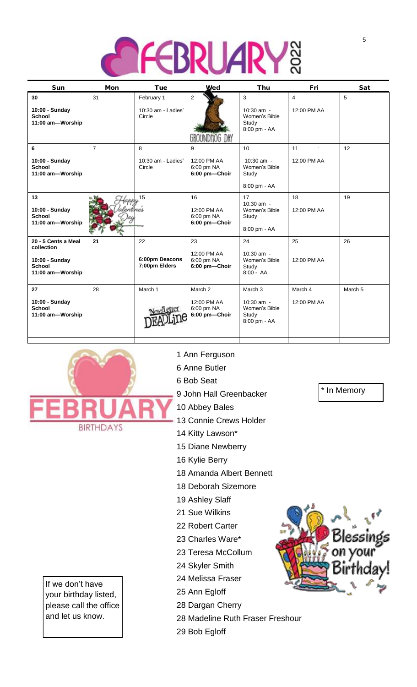

| Sun                                                                                      | Mon            | Tue                                        | Wed                                                   | Thu                                                             | Fri                                 | Sat     |
|------------------------------------------------------------------------------------------|----------------|--------------------------------------------|-------------------------------------------------------|-----------------------------------------------------------------|-------------------------------------|---------|
| 30<br>10:00 - Sunday<br><b>School</b><br>11:00 am-Worship                                | 31             | February 1<br>10:30 am - Ladies'<br>Circle | $\overline{2}$<br>UК                                  | 3<br>10:30 am -<br>Women's Bible<br>Study<br>8:00 pm - AA       | $\overline{4}$<br>12:00 PM AA       | 5       |
| 6<br>10:00 - Sunday<br><b>School</b><br>11:00 am-Worship                                 | $\overline{7}$ | 8<br>10:30 am - Ladies'<br>Circle          | 9<br>12:00 PM AA<br>6:00 pm NA<br>6:00 pm-Choir       | 10<br>$10:30$ am -<br>Women's Bible<br>Study<br>8:00 pm - AA    | $\blacksquare$<br>11<br>12:00 PM AA | 12      |
| 13<br>10:00 - Sunday<br><b>School</b><br>11:00 am-Worship                                |                | 15<br>entines                              | 16<br>12:00 PM AA<br>6:00 pm NA<br>6:00 pm-Choir      | 17<br>$10:30$ am -<br>Women's Bible<br>Study<br>8:00 pm - AA    | 18<br>12:00 PM AA                   | 19      |
| 20 - 5 Cents a Meal<br>collection<br>10:00 - Sunday<br><b>School</b><br>11:00 am-Worship | 21             | 22<br>6:00pm Deacons<br>7:00pm Elders      | 23<br>12:00 PM AA<br>6:00 pm NA<br>6:00 pm-Choir      | 24<br>$10:30$ am -<br>Women's Bible<br>Study<br>$8:00 - AA$     | 25<br>12:00 PM AA                   | 26      |
| 27<br>10:00 - Sunday<br><b>School</b><br>11:00 am-Worship                                | 28             | March 1<br>ews etter                       | March 2<br>12:00 PM AA<br>6:00 pm NA<br>6:00 pm-Choir | March 3<br>10:30 am -<br>Women's Bible<br>Study<br>8:00 pm - AA | March 4<br>12:00 PM AA              | March 5 |



If we don't have your birthday listed, please call the office and let us know.

### 1 Ann Ferguson

- 6 Anne Butler
- 6 Bob Seat
- 9 John Hall Greenbacker
- 10 Abbey Bales
- 13 Connie Crews Holder
- 14 Kitty Lawson\*
- 15 Diane Newberry
- 16 Kylie Berry
- 18 Amanda Albert Bennett
- 18 Deborah Sizemore
- 19 Ashley Slaff
- 21 Sue Wilkins
- 22 Robert Carter
- 23 Charles Ware\*
- 23 Teresa McCollum
- 24 Skyler Smith
- 24 Melissa Fraser
- 25 Ann Egloff
- 28 Dargan Cherry
- 28 Madeline Ruth Fraser Freshour
- 29 Bob Egloff



\* In Memory